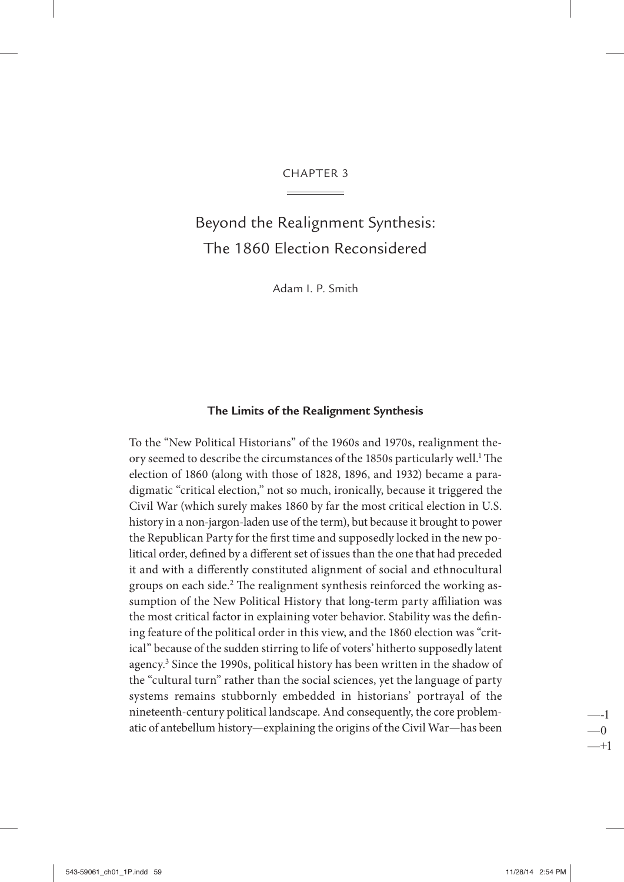CHAPTER 3

# Beyond the Realignment Synthesis: The 1860 Election Reconsidered

Adam I. P. Smith

## **The Limits of the Realignment Synthesis**

To the "New Political Historians" of the 1960s and 1970s, realignment theory seemed to describe the circumstances of the 1850s particularly well.<sup>1</sup> The election of 1860 (along with those of 1828, 1896, and 1932) became a paradigmatic "critical election," not so much, ironically, because it triggered the Civil War (which surely makes 1860 by far the most critical election in U.S. history in a non-jargon-laden use of the term), but because it brought to power the Republican Party for the first time and supposedly locked in the new political order, defined by a different set of issues than the one that had preceded it and with a differently constituted alignment of social and ethnocultural groups on each side.<sup>2</sup> The realignment synthesis reinforced the working assumption of the New Political History that long-term party affiliation was the most critical factor in explaining voter behavior. Stability was the defining feature of the political order in this view, and the 1860 election was "critical" because of the sudden stirring to life of voters' hitherto supposedly latent agency.<sup>3</sup> Since the 1990s, political history has been written in the shadow of the "cultural turn" rather than the social sciences, yet the language of party systems remains stubbornly embedded in historians' portrayal of the nineteenth-century political landscape. And consequently, the core problematic of antebellum history— explaining the origins of the Civil War— has been

—-1  $\overline{0}$  $-+1$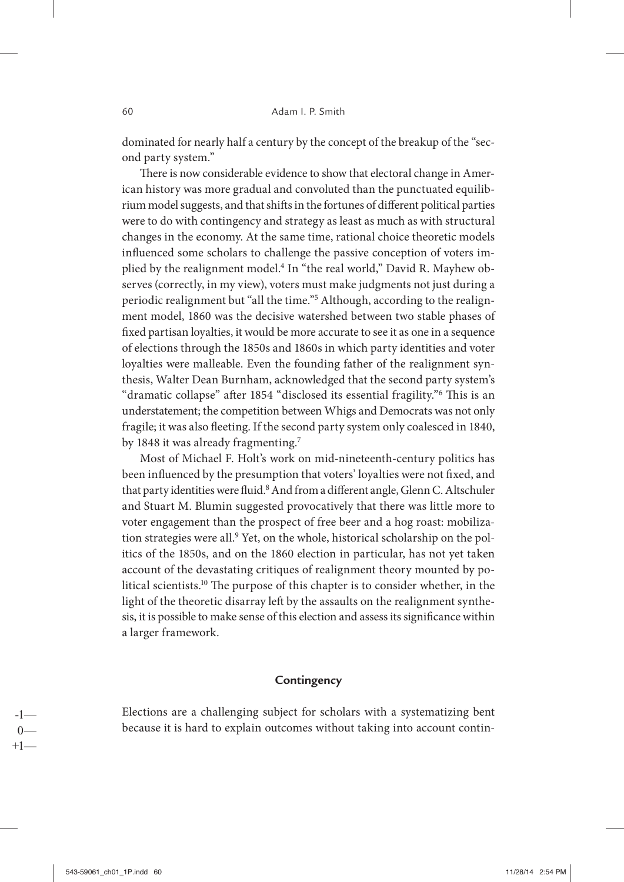dominated for nearly half a century by the concept of the breakup of the "second party system."

There is now considerable evidence to show that electoral change in American history was more gradual and convoluted than the punctuated equilibrium model suggests, and that shifts in the fortunes of different political parties were to do with contingency and strategy as least as much as with structural changes in the economy. At the same time, rational choice theoretic models influenced some scholars to challenge the passive conception of voters implied by the realignment model.<sup>4</sup> In "the real world," David R. Mayhew observes (correctly, in my view), voters must make judgments not just during a periodic realignment but "all the time."5 Although, according to the realignment model, 1860 was the decisive watershed between two stable phases of fixed partisan loyalties, it would be more accurate to see it as one in a sequence of elections through the 1850s and 1860s in which party identities and voter loyalties were malleable. Even the founding father of the realignment synthesis, Walter Dean Burnham, acknowledged that the second party system's "dramatic collapse" after 1854 "disclosed its essential fragility." $\rm ^6$  This is an understatement; the competition between Whigs and Democrats was not only fragile; it was also fleeting. If the second party system only coalesced in 1840, by 1848 it was already fragmenting.<sup>7</sup>

Most of Michael F. Holt's work on mid- nineteenth- century politics has been influenced by the presumption that voters' loyalties were not fixed, and that party identities were fluid.<sup>8</sup> And from a different angle, Glenn C. Altschuler and Stuart M. Blumin suggested provocatively that there was little more to voter engagement than the prospect of free beer and a hog roast: mobilization strategies were all.<sup>9</sup> Yet, on the whole, historical scholarship on the politics of the 1850s, and on the 1860 election in particular, has not yet taken account of the devastating critiques of realignment theory mounted by political scientists.<sup>10</sup> The purpose of this chapter is to consider whether, in the light of the theoretic disarray left by the assaults on the realignment synthesis, it is possible to make sense of this election and assess its significance within a larger framework.

## **Contingency**

Elections are a challenging subject for scholars with a systematizing bent because it is hard to explain outcomes without taking into account contin-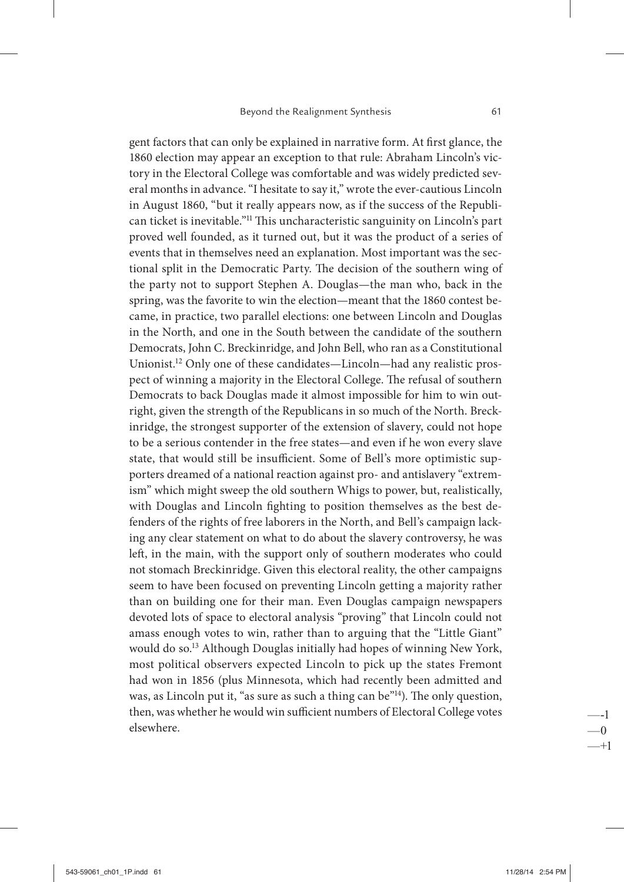gent factors that can only be explained in narrative form. At first glance, the 1860 election may appear an exception to that rule: Abraham Lincoln's victory in the Electoral College was comfortable and was widely predicted several months in advance. "I hesitate to say it," wrote the ever- cautious Lincoln in August 1860, "but it really appears now, as if the success of the Republican ticket is inevitable."<sup>11</sup> This uncharacteristic sanguinity on Lincoln's part proved well founded, as it turned out, but it was the product of a series of events that in themselves need an explanation. Most important was the sectional split in the Democratic Party. The decision of the southern wing of the party not to support Stephen A. Douglas— the man who, back in the spring, was the favorite to win the election— meant that the 1860 contest became, in practice, two parallel elections: one between Lincoln and Douglas in the North, and one in the South between the candidate of the southern Democrats, John C. Breckinridge, and John Bell, who ran as a Constitutional Unionist.<sup>12</sup> Only one of these candidates—Lincoln—had any realistic prospect of winning a majority in the Electoral College. The refusal of southern Democrats to back Douglas made it almost impossible for him to win outright, given the strength of the Republicans in so much of the North. Breckinridge, the strongest supporter of the extension of slavery, could not hope to be a serious contender in the free states— and even if he won every slave state, that would still be insufficient. Some of Bell's more optimistic supporters dreamed of a national reaction against pro- and antislavery "extremism" which might sweep the old southern Whigs to power, but, realistically, with Douglas and Lincoln fighting to position themselves as the best defenders of the rights of free laborers in the North, and Bell's campaign lacking any clear statement on what to do about the slavery controversy, he was left, in the main, with the support only of southern moderates who could not stomach Breckinridge. Given this electoral reality, the other campaigns seem to have been focused on preventing Lincoln getting a majority rather than on building one for their man. Even Douglas campaign newspapers devoted lots of space to electoral analysis "proving" that Lincoln could not amass enough votes to win, rather than to arguing that the "Little Giant" would do so.<sup>13</sup> Although Douglas initially had hopes of winning New York, most political observers expected Lincoln to pick up the states Fremont had won in 1856 (plus Minnesota, which had recently been admitted and was, as Lincoln put it, "as sure as such a thing can be"<sup>14</sup>). The only question, then, was whether he would win sufficient numbers of Electoral College votes elsewhere.

—-1  $\overline{\phantom{0}}$  $-+1$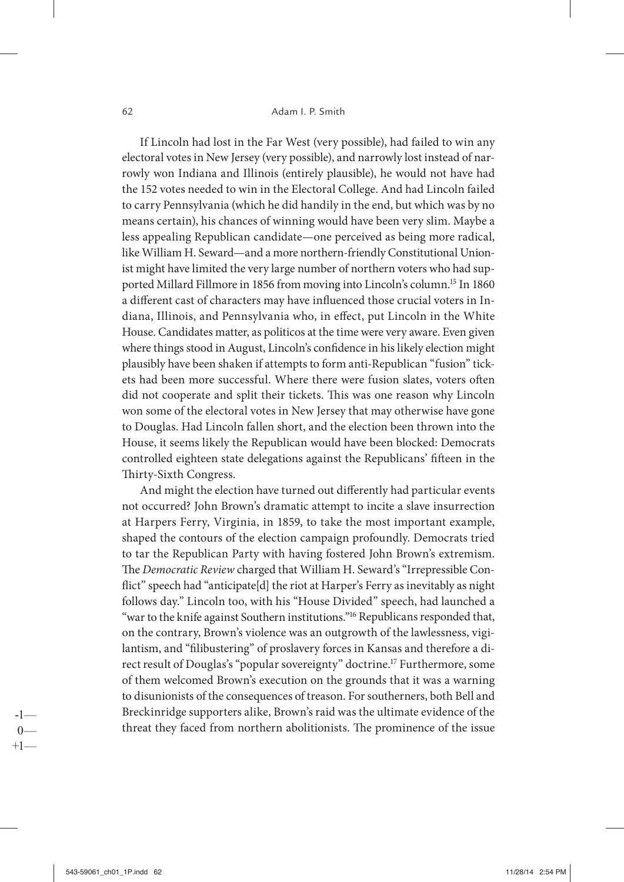If Lincoln had lost in the Far West (very possible), had failed to win any electoral votes in New Jersey (very possible), and narrowly lost instead of narrowly won Indiana and Illinois (entirely plausible), he would not have had the 152 votes needed to win in the Electoral College. And had Lincoln failed to carry Pennsylvania (which he did handily in the end, but which was by no means certain), his chances of winning would have been very slim. Maybe a less appealing Republican candidate— one perceived as being more radical, like William H. Seward— and a more northern- friendly Constitutional Unionist might have limited the very large number of northern voters who had supported Millard Fillmore in 1856 from moving into Lincoln's column.15 In 1860 a different cast of characters may have influenced those crucial voters in Indiana, Illinois, and Pennsylvania who, in effect, put Lincoln in the White House. Candidates matter, as politicos at the time were very aware. Even given where things stood in August, Lincoln's confidence in his likely election might plausibly have been shaken if attempts to form anti- Republican "fusion" tickets had been more successful. Where there were fusion slates, voters often did not cooperate and split their tickets. This was one reason why Lincoln won some of the electoral votes in New Jersey that may otherwise have gone to Douglas. Had Lincoln fallen short, and the election been thrown into the House, it seems likely the Republican would have been blocked: Democrats controlled eighteen state delegations against the Republicans' fifteen in the Thirty-Sixth Congress.

And might the election have turned out differently had particular events not occurred? John Brown's dramatic attempt to incite a slave insurrection at Harpers Ferry, Virginia, in 1859, to take the most important example, shaped the contours of the election campaign profoundly. Democrats tried to tar the Republican Party with having fostered John Brown's extremism. The *Democratic Review* charged that William H. Seward's "Irrepressible Conflict" speech had "anticipate[d] the riot at Harper's Ferry as inevitably as night follows day." Lincoln too, with his "House Divided" speech, had launched a "war to the knife against Southern institutions."<sup>16</sup> Republicans responded that, on the contrary, Brown's violence was an outgrowth of the lawlessness, vigilantism, and "filibustering" of proslavery forces in Kansas and therefore a direct result of Douglas's "popular sovereignty" doctrine.<sup>17</sup> Furthermore, some of them welcomed Brown's execution on the grounds that it was a warning to disunionists of the consequences of treason. For southerners, both Bell and Breckinridge supporters alike, Brown's raid was the ultimate evidence of the threat they faced from northern abolitionists. The prominence of the issue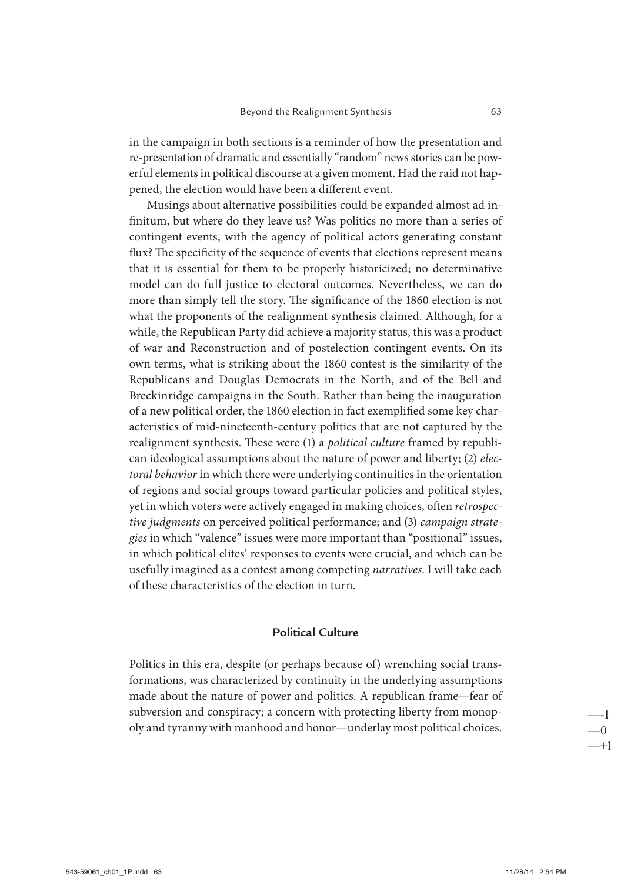in the campaign in both sections is a reminder of how the presentation and re- presentation of dramatic and essentially "random" news stories can be powerful elements in political discourse at a given moment. Had the raid not happened, the election would have been a different event.

Musings about alternative possibilities could be expanded almost ad infinitum, but where do they leave us? Was politics no more than a series of contingent events, with the agency of political actors generating constant flux? The specificity of the sequence of events that elections represent means that it is essential for them to be properly historicized; no determinative model can do full justice to electoral outcomes. Nevertheless, we can do more than simply tell the story. The significance of the 1860 election is not what the proponents of the realignment synthesis claimed. Although, for a while, the Republican Party did achieve a majority status, this was a product of war and Reconstruction and of postelection contingent events. On its own terms, what is striking about the 1860 contest is the similarity of the Republicans and Douglas Democrats in the North, and of the Bell and Breckinridge campaigns in the South. Rather than being the inauguration of a new political order, the 1860 election in fact exemplified some key characteristics of mid- nineteenth- century politics that are not captured by the realignment synthesis. These were (1) a *political culture* framed by republican ideological assumptions about the nature of power and liberty; (2) *electoral behavior* in which there were underlying continuities in the orientation of regions and social groups toward particular policies and political styles, yet in which voters were actively engaged in making choices, often *retrospective judgments* on perceived political performance; and (3) *campaign strategies* in which "valence" issues were more important than "positional" issues, in which political elites' responses to events were crucial, and which can be usefully imagined as a contest among competing *narratives*. I will take each of these characteristics of the election in turn.

## **Political Culture**

Politics in this era, despite (or perhaps because of) wrenching social transformations, was characterized by continuity in the underlying assumptions made about the nature of power and politics. A republican frame— fear of subversion and conspiracy; a concern with protecting liberty from monopoly and tyranny with manhood and honor—underlay most political choices.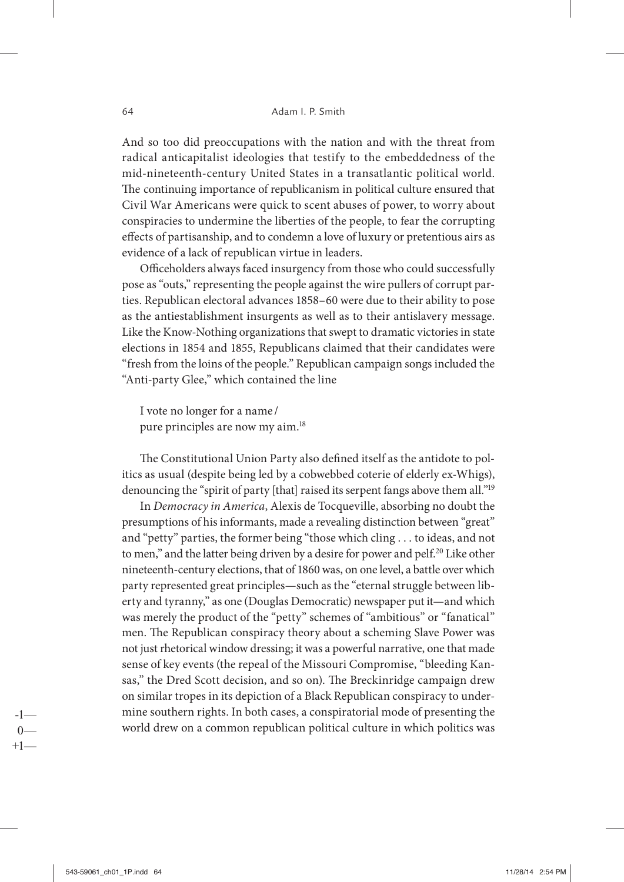And so too did preoccupations with the nation and with the threat from radical anticapitalist ideologies that testify to the embeddedness of the mid-nineteenth-century United States in a transatlantic political world. The continuing importance of republicanism in political culture ensured that Civil War Americans were quick to scent abuses of power, to worry about conspiracies to undermine the liberties of the people, to fear the corrupting effects of partisanship, and to condemn a love of luxury or pretentious airs as evidence of a lack of republican virtue in leaders.

Officeholders always faced insurgency from those who could successfully pose as "outs," representing the people against the wire pullers of corrupt parties. Republican electoral advances 1858–60 were due to their ability to pose as the antiestablishment insurgents as well as to their antislavery message. Like the Know- Nothing organizations that swept to dramatic victories in state elections in 1854 and 1855, Republicans claimed that their candidates were "fresh from the loins of the people." Republican campaign songs included the "Anti-party Glee," which contained the line

I vote no longer for a name / pure principles are now my aim.<sup>18</sup>

The Constitutional Union Party also defined itself as the antidote to politics as usual (despite being led by a cobwebbed coterie of elderly ex-Whigs), denouncing the "spirit of party [that] raised its serpent fangs above them all."19

In *Democracy in America*, Alexis de Tocqueville, absorbing no doubt the presumptions of his informants, made a revealing distinction between "great" and "petty" parties, the former being "those which cling . . . to ideas, and not to men," and the latter being driven by a desire for power and pelf.20 Like other nineteenth- century elections, that of 1860 was, on one level, a battle over which party represented great principles— such as the "eternal struggle between liberty and tyranny," as one (Douglas Democratic) newspaper put it—and which was merely the product of the "petty" schemes of "ambitious" or "fanatical" men. The Republican conspiracy theory about a scheming Slave Power was not just rhetorical window dressing; it was a powerful narrative, one that made sense of key events (the repeal of the Missouri Compromise, "bleeding Kansas," the Dred Scott decision, and so on). The Breckinridge campaign drew on similar tropes in its depiction of a Black Republican conspiracy to undermine southern rights. In both cases, a conspiratorial mode of presenting the world drew on a common republican political culture in which politics was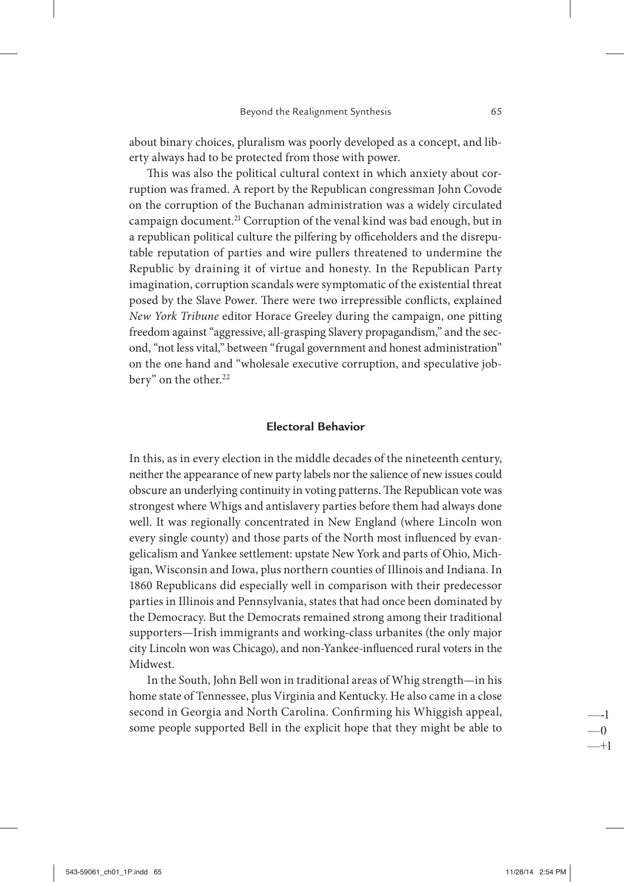about binary choices, pluralism was poorly developed as a concept, and liberty always had to be protected from those with power.

This was also the political cultural context in which anxiety about corruption was framed. A report by the Republican congressman John Covode on the corruption of the Buchanan administration was a widely circulated campaign document.21 Corruption of the venal kind was bad enough, but in a republican political culture the pilfering by officeholders and the disreputable reputation of parties and wire pullers threatened to undermine the Republic by draining it of virtue and honesty. In the Republican Party imagination, corruption scandals were symptomatic of the existential threat posed by the Slave Power. There were two irrepressible conflicts, explained *New York Tribune* editor Horace Greeley during the campaign, one pitting freedom against "aggressive, all- grasping Slavery propagandism," and the second, "not less vital," between "frugal government and honest administration" on the one hand and "wholesale executive corruption, and speculative jobbery" on the other.<sup>22</sup>

## **Electoral Behavior**

In this, as in every election in the middle decades of the nineteenth century, neither the appearance of new party labels nor the salience of new issues could obscure an underlying continuity in voting patterns. The Republican vote was strongest where Whigs and antislavery parties before them had always done well. It was regionally concentrated in New England (where Lincoln won every single county) and those parts of the North most influenced by evangelicalism and Yankee settlement: upstate New York and parts of Ohio, Michigan, Wisconsin and Iowa, plus northern counties of Illinois and Indiana. In 1860 Republicans did especially well in comparison with their predecessor parties in Illinois and Pennsylvania, states that had once been dominated by the Democracy. But the Democrats remained strong among their traditional supporters— Irish immigrants and working- class urbanites (the only major city Lincoln won was Chicago), and non-Yankee-influenced rural voters in the Midwest.

In the South, John Bell won in traditional areas of Whig strength—in his home state of Tennessee, plus Virginia and Kentucky. He also came in a close second in Georgia and North Carolina. Confirming his Whiggish appeal, some people supported Bell in the explicit hope that they might be able to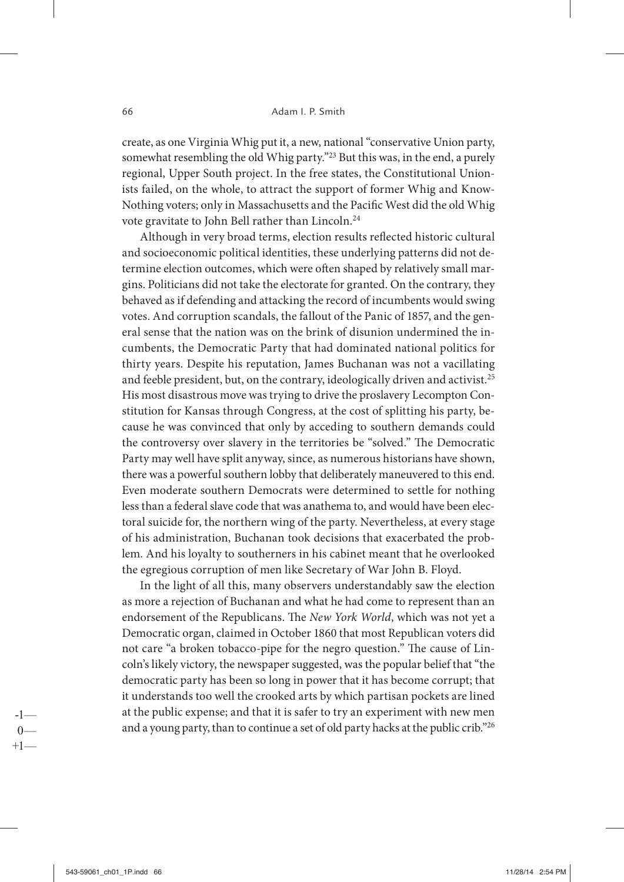create, as one Virginia Whig put it, a new, national "conservative Union party, somewhat resembling the old Whig party."23 But this was, in the end, a purely regional, Upper South project. In the free states, the Constitutional Unionists failed, on the whole, to attract the support of former Whig and Know-Nothing voters; only in Massachusetts and the Pacific West did the old Whig vote gravitate to John Bell rather than Lincoln.24

Although in very broad terms, election results reflected historic cultural and socioeconomic political identities, these underlying patterns did not determine election outcomes, which were often shaped by relatively small margins. Politicians did not take the electorate for granted. On the contrary, they behaved as if defending and attacking the record of incumbents would swing votes. And corruption scandals, the fallout of the Panic of 1857, and the general sense that the nation was on the brink of disunion undermined the incumbents, the Democratic Party that had dominated national politics for thirty years. Despite his reputation, James Buchanan was not a vacillating and feeble president, but, on the contrary, ideologically driven and activist.<sup>25</sup> His most disastrous move was trying to drive the proslavery Lecompton Constitution for Kansas through Congress, at the cost of splitting his party, because he was convinced that only by acceding to southern demands could the controversy over slavery in the territories be "solved." The Democratic Party may well have split anyway, since, as numerous historians have shown, there was a powerful southern lobby that deliberately maneuvered to this end. Even moderate southern Democrats were determined to settle for nothing less than a federal slave code that was anathema to, and would have been electoral suicide for, the northern wing of the party. Nevertheless, at every stage of his administration, Buchanan took decisions that exacerbated the problem. And his loyalty to southerners in his cabinet meant that he overlooked the egregious corruption of men like Secretary of War John B. Floyd.

In the light of all this, many observers understandably saw the election as more a rejection of Buchanan and what he had come to represent than an endorsement of the Republicans. The *New York World*, which was not yet a Democratic organ, claimed in October 1860 that most Republican voters did not care "a broken tobacco-pipe for the negro question." The cause of Lincoln's likely victory, the newspaper suggested, was the popular belief that "the democratic party has been so long in power that it has become corrupt; that it understands too well the crooked arts by which partisan pockets are lined at the public expense; and that it is safer to try an experiment with new men and a young party, than to continue a set of old party hacks at the public crib."26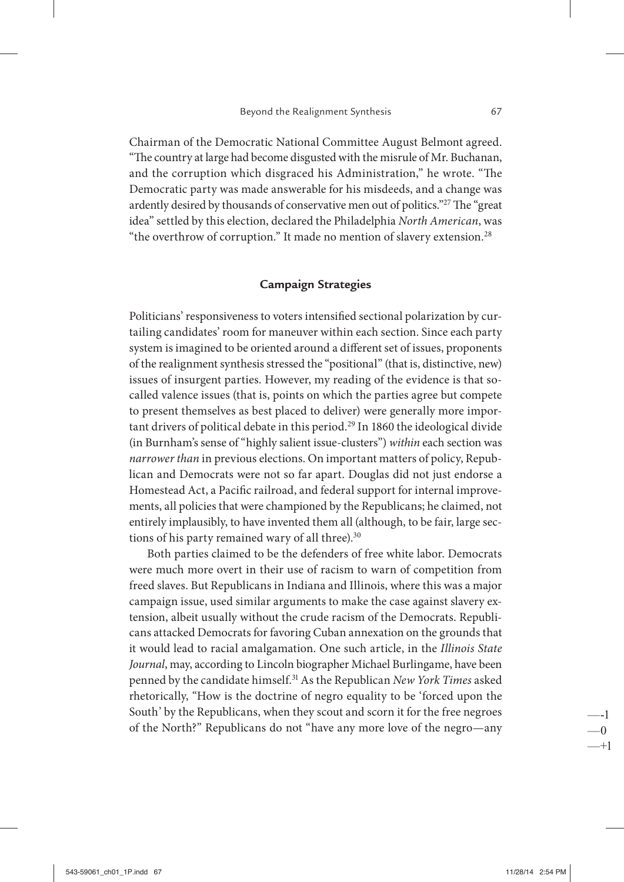Chairman of the Democratic National Committee August Belmont agreed. "The country at large had become disgusted with the misrule of Mr. Buchanan, and the corruption which disgraced his Administration," he wrote. "The Democratic party was made answerable for his misdeeds, and a change was ardently desired by thousands of conservative men out of politics."<sup>27</sup> The "great idea" settled by this election, declared the Philadelphia *North American*, was "the overthrow of corruption." It made no mention of slavery extension.28

## **Campaign Strategies**

Politicians' responsiveness to voters intensified sectional polarization by curtailing candidates' room for maneuver within each section. Since each party system is imagined to be oriented around a different set of issues, proponents of the realignment synthesis stressed the "positional" (that is, distinctive, new) issues of insurgent parties. However, my reading of the evidence is that socalled valence issues (that is, points on which the parties agree but compete to present themselves as best placed to deliver) were generally more important drivers of political debate in this period.<sup>29</sup> In 1860 the ideological divide (in Burnham's sense of "highly salient issue- clusters") *within* each section was *narrower than* in previous elections. On important matters of policy, Republican and Democrats were not so far apart. Douglas did not just endorse a Homestead Act, a Pacific railroad, and federal support for internal improvements, all policies that were championed by the Republicans; he claimed, not entirely implausibly, to have invented them all (although, to be fair, large sections of his party remained wary of all three).<sup>30</sup>

Both parties claimed to be the defenders of free white labor. Democrats were much more overt in their use of racism to warn of competition from freed slaves. But Republicans in Indiana and Illinois, where this was a major campaign issue, used similar arguments to make the case against slavery extension, albeit usually without the crude racism of the Democrats. Republicans attacked Democrats for favoring Cuban annexation on the grounds that it would lead to racial amalgamation. One such article, in the *Illinois State Journal*, may, according to Lincoln biographer Michael Burlingame, have been penned by the candidate himself.31 As the Republican *New York Times* asked rhetorically, "How is the doctrine of negro equality to be 'forced upon the South' by the Republicans, when they scout and scorn it for the free negroes of the North?" Republicans do not "have any more love of the negro— any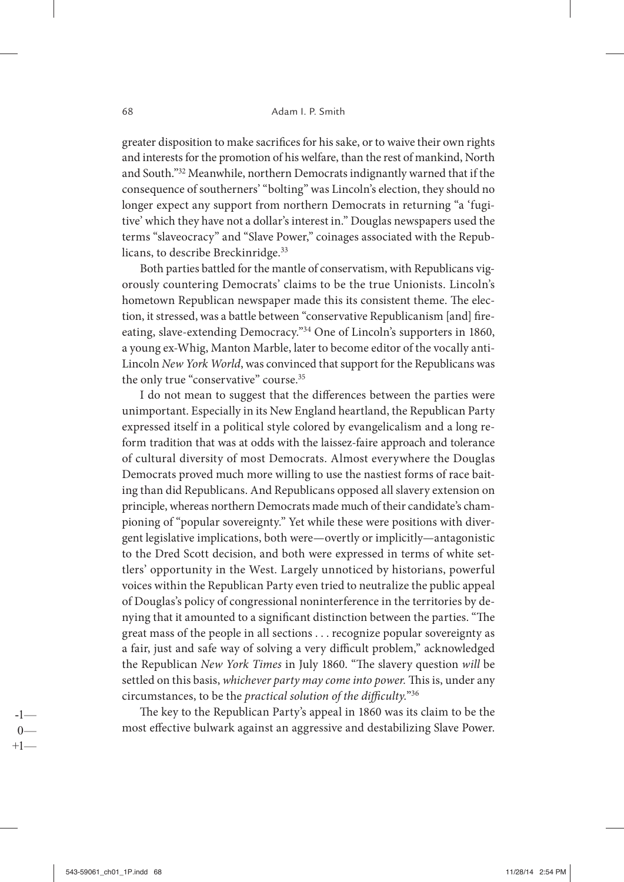greater disposition to make sacrifices for his sake, or to waive their own rights and interests for the promotion of his welfare, than the rest of mankind, North and South."<sup>32</sup> Meanwhile, northern Democrats indignantly warned that if the consequence of southerners' "bolting" was Lincoln's election, they should no longer expect any support from northern Democrats in returning "a 'fugitive' which they have not a dollar's interest in." Douglas newspapers used the terms "slaveocracy" and "Slave Power," coinages associated with the Republicans, to describe Breckinridge.<sup>33</sup>

Both parties battled for the mantle of conservatism, with Republicans vigorously countering Democrats' claims to be the true Unionists. Lincoln's hometown Republican newspaper made this its consistent theme. The election, it stressed, was a battle between "conservative Republicanism [and] fireeating, slave-extending Democracy."<sup>34</sup> One of Lincoln's supporters in 1860, a young ex- Whig, Manton Marble, later to become editor of the vocally anti-Lincoln *New York World*, was convinced that support for the Republicans was the only true "conservative" course.<sup>35</sup>

I do not mean to suggest that the differences between the parties were unimportant. Especially in its New England heartland, the Republican Party expressed itself in a political style colored by evangelicalism and a long reform tradition that was at odds with the laissez-faire approach and tolerance of cultural diversity of most Democrats. Almost everywhere the Douglas Democrats proved much more willing to use the nastiest forms of race baiting than did Republicans. And Republicans opposed all slavery extension on principle, whereas northern Democrats made much of their candidate's championing of "popular sovereignty." Yet while these were positions with divergent legislative implications, both were— overtly or implicitly— antagonistic to the Dred Scott decision, and both were expressed in terms of white settlers' opportunity in the West. Largely unnoticed by historians, powerful voices within the Republican Party even tried to neutralize the public appeal of Douglas's policy of congressional noninterference in the territories by denying that it amounted to a significant distinction between the parties. "The great mass of the people in all sections . . . recognize popular sovereignty as a fair, just and safe way of solving a very difficult problem," acknowledged the Republican *New York Times* in July 1860. "The slavery question *will* be settled on this basis, *whichever party may come into power*. This is, under any circumstances, to be the *practical solution of the difficulty*."<sup>36</sup>

The key to the Republican Party's appeal in 1860 was its claim to be the most effective bulwark against an aggressive and destabilizing Slave Power.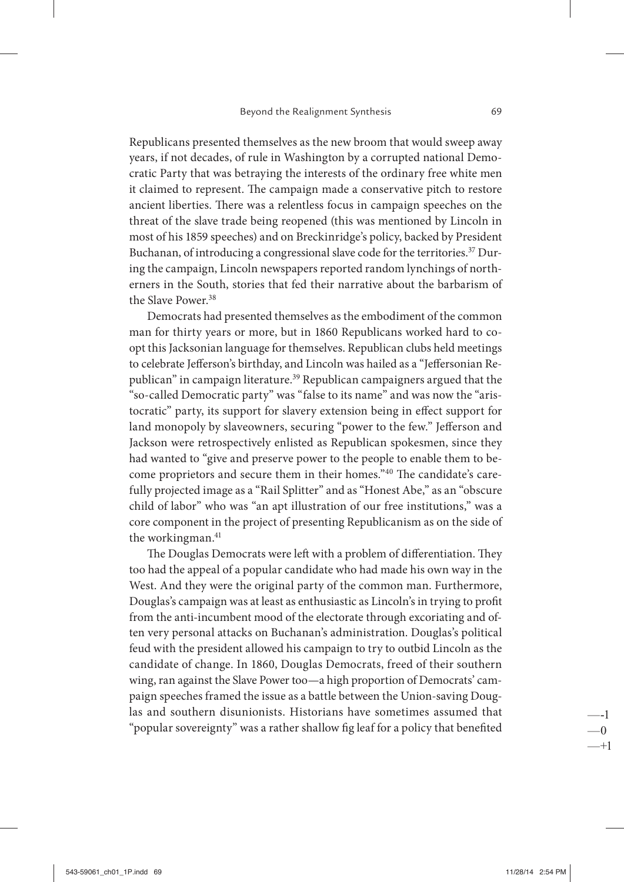Republicans presented themselves as the new broom that would sweep away years, if not decades, of rule in Washington by a corrupted national Democratic Party that was betraying the interests of the ordinary free white men it claimed to represent. The campaign made a conservative pitch to restore ancient liberties. There was a relentless focus in campaign speeches on the threat of the slave trade being reopened (this was mentioned by Lincoln in most of his 1859 speeches) and on Breckinridge's policy, backed by President Buchanan, of introducing a congressional slave code for the territories.<sup>37</sup> During the campaign, Lincoln newspapers reported random lynchings of northerners in the South, stories that fed their narrative about the barbarism of the Slave Power.<sup>38</sup>

Democrats had presented themselves as the embodiment of the common man for thirty years or more, but in 1860 Republicans worked hard to coopt this Jacksonian language for themselves. Republican clubs held meetings to celebrate Jefferson's birthday, and Lincoln was hailed as a "Jeffersonian Republican" in campaign literature.<sup>39</sup> Republican campaigners argued that the "so-called Democratic party" was "false to its name" and was now the "aristocratic" party, its support for slavery extension being in effect support for land monopoly by slaveowners, securing "power to the few." Jefferson and Jackson were retrospectively enlisted as Republican spokesmen, since they had wanted to "give and preserve power to the people to enable them to become proprietors and secure them in their homes."40 The candidate's carefully projected image as a "Rail Splitter" and as "Honest Abe," as an "obscure child of labor" who was "an apt illustration of our free institutions," was a core component in the project of presenting Republicanism as on the side of the workingman.<sup>41</sup>

The Douglas Democrats were left with a problem of differentiation. They too had the appeal of a popular candidate who had made his own way in the West. And they were the original party of the common man. Furthermore, Douglas's campaign was at least as enthusiastic as Lincoln's in trying to profit from the anti-incumbent mood of the electorate through excoriating and often very personal attacks on Buchanan's administration. Douglas's political feud with the president allowed his campaign to try to outbid Lincoln as the candidate of change. In 1860, Douglas Democrats, freed of their southern wing, ran against the Slave Power too—a high proportion of Democrats' campaign speeches framed the issue as a battle between the Union- saving Douglas and southern disunionists. Historians have sometimes assumed that "popular sovereignty" was a rather shallow fig leaf for a policy that benefited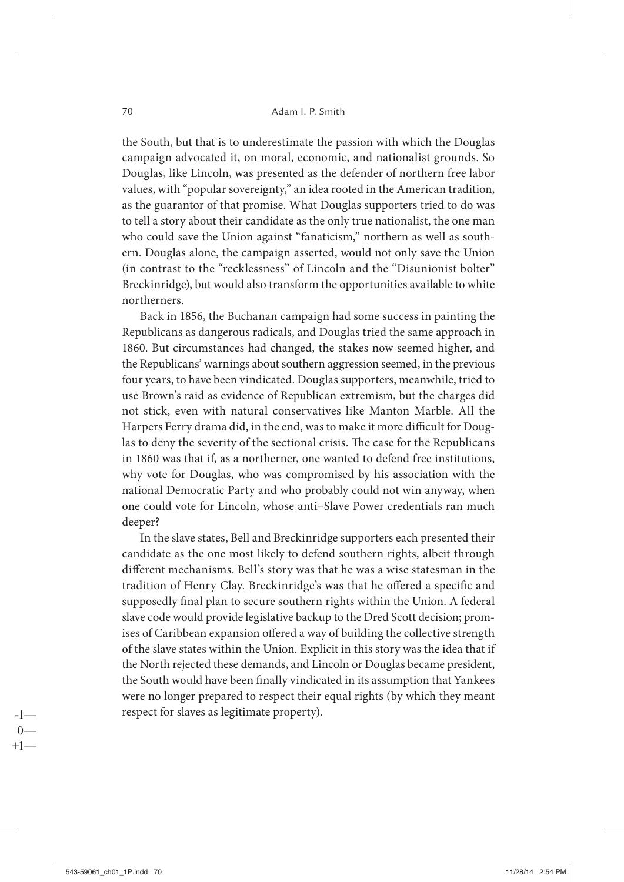the South, but that is to underestimate the passion with which the Douglas campaign advocated it, on moral, economic, and nationalist grounds. So Douglas, like Lincoln, was presented as the defender of northern free labor values, with "popular sovereignty," an idea rooted in the American tradition, as the guarantor of that promise. What Douglas supporters tried to do was to tell a story about their candidate as the only true nationalist, the one man who could save the Union against "fanaticism," northern as well as southern. Douglas alone, the campaign asserted, would not only save the Union (in contrast to the "recklessness" of Lincoln and the "Disunionist bolter" Breckinridge), but would also transform the opportunities available to white northerners.

Back in 1856, the Buchanan campaign had some success in painting the Republicans as dangerous radicals, and Douglas tried the same approach in 1860. But circumstances had changed, the stakes now seemed higher, and the Republicans' warnings about southern aggression seemed, in the previous four years, to have been vindicated. Douglas supporters, meanwhile, tried to use Brown's raid as evidence of Republican extremism, but the charges did not stick, even with natural conservatives like Manton Marble. All the Harpers Ferry drama did, in the end, was to make it more difficult for Douglas to deny the severity of the sectional crisis. The case for the Republicans in 1860 was that if, as a northerner, one wanted to defend free institutions, why vote for Douglas, who was compromised by his association with the national Democratic Party and who probably could not win anyway, when one could vote for Lincoln, whose anti– Slave Power credentials ran much deeper?

In the slave states, Bell and Breckinridge supporters each presented their candidate as the one most likely to defend southern rights, albeit through different mechanisms. Bell's story was that he was a wise statesman in the tradition of Henry Clay. Breckinridge's was that he offered a specific and supposedly final plan to secure southern rights within the Union. A federal slave code would provide legislative backup to the Dred Scott decision; promises of Caribbean expansion offered a way of building the collective strength of the slave states within the Union. Explicit in this story was the idea that if the North rejected these demands, and Lincoln or Douglas became president, the South would have been finally vindicated in its assumption that Yankees were no longer prepared to respect their equal rights (by which they meant respect for slaves as legitimate property).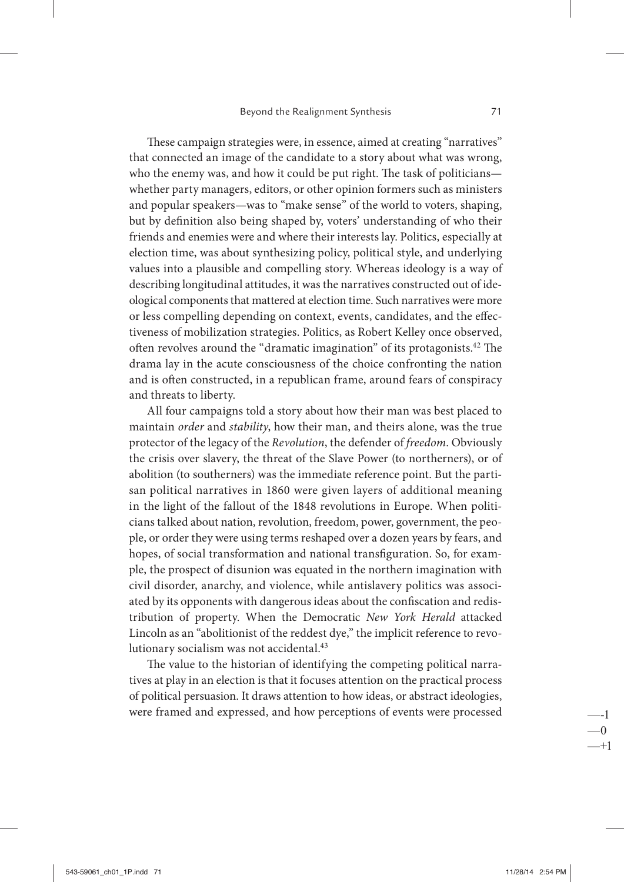These campaign strategies were, in essence, aimed at creating "narratives" that connected an image of the candidate to a story about what was wrong, who the enemy was, and how it could be put right. The task of politicianswhether party managers, editors, or other opinion formers such as ministers and popular speakers—was to "make sense" of the world to voters, shaping, but by definition also being shaped by, voters' understanding of who their friends and enemies were and where their interests lay. Politics, especially at election time, was about synthesizing policy, political style, and underlying values into a plausible and compelling story. Whereas ideology is a way of describing longitudinal attitudes, it was the narratives constructed out of ideological components that mattered at election time. Such narratives were more or less compelling depending on context, events, candidates, and the effectiveness of mobilization strategies. Politics, as Robert Kelley once observed, often revolves around the "dramatic imagination" of its protagonists.<sup>42</sup> The drama lay in the acute consciousness of the choice confronting the nation and is often constructed, in a republican frame, around fears of conspiracy and threats to liberty.

All four campaigns told a story about how their man was best placed to maintain *order* and *stability*, how their man, and theirs alone, was the true protector of the legacy of the *Revolution*, the defender of *freedom*. Obviously the crisis over slavery, the threat of the Slave Power (to northerners), or of abolition (to southerners) was the immediate reference point. But the partisan political narratives in 1860 were given layers of additional meaning in the light of the fallout of the 1848 revolutions in Europe. When politicians talked about nation, revolution, freedom, power, government, the people, or order they were using terms reshaped over a dozen years by fears, and hopes, of social transformation and national transfiguration. So, for example, the prospect of disunion was equated in the northern imagination with civil disorder, anarchy, and violence, while antislavery politics was associated by its opponents with dangerous ideas about the confiscation and redistribution of property. When the Democratic *New York Herald* attacked Lincoln as an "abolitionist of the reddest dye," the implicit reference to revolutionary socialism was not accidental.<sup>43</sup>

The value to the historian of identifying the competing political narratives at play in an election is that it focuses attention on the practical process of political persuasion. It draws attention to how ideas, or abstract ideologies, were framed and expressed, and how perceptions of events were processed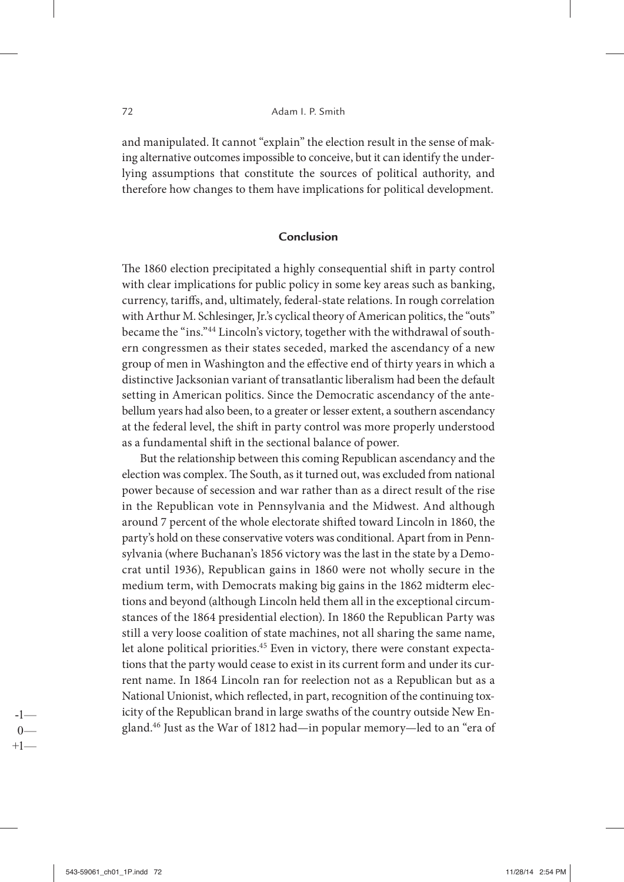and manipulated. It cannot "explain" the election result in the sense of making alternative outcomes impossible to conceive, but it can identify the underlying assumptions that constitute the sources of political authority, and therefore how changes to them have implications for political development.

# **Conclusion**

The 1860 election precipitated a highly consequential shift in party control with clear implications for public policy in some key areas such as banking, currency, tariffs, and, ultimately, federal-state relations. In rough correlation with Arthur M. Schlesinger, Jr.'s cyclical theory of American politics, the "outs" became the "ins."44 Lincoln's victory, together with the withdrawal of southern congressmen as their states seceded, marked the ascendancy of a new group of men in Washington and the effective end of thirty years in which a distinctive Jacksonian variant of transatlantic liberalism had been the default setting in American politics. Since the Democratic ascendancy of the antebellum years had also been, to a greater or lesser extent, a southern ascendancy at the federal level, the shift in party control was more properly understood as a fundamental shift in the sectional balance of power.

But the relationship between this coming Republican ascendancy and the election was complex. The South, as it turned out, was excluded from national power because of secession and war rather than as a direct result of the rise in the Republican vote in Pennsylvania and the Midwest. And although around 7 percent of the whole electorate shifted toward Lincoln in 1860, the party's hold on these conservative voters was conditional. Apart from in Pennsylvania (where Buchanan's 1856 victory was the last in the state by a Democrat until 1936), Republican gains in 1860 were not wholly secure in the medium term, with Democrats making big gains in the 1862 midterm elections and beyond (although Lincoln held them all in the exceptional circumstances of the 1864 presidential election). In 1860 the Republican Party was still a very loose coalition of state machines, not all sharing the same name, let alone political priorities.<sup>45</sup> Even in victory, there were constant expectations that the party would cease to exist in its current form and under its current name. In 1864 Lincoln ran for reelection not as a Republican but as a National Unionist, which reflected, in part, recognition of the continuing toxicity of the Republican brand in large swaths of the country outside New England.<sup>46</sup> Just as the War of 1812 had—in popular memory—led to an "era of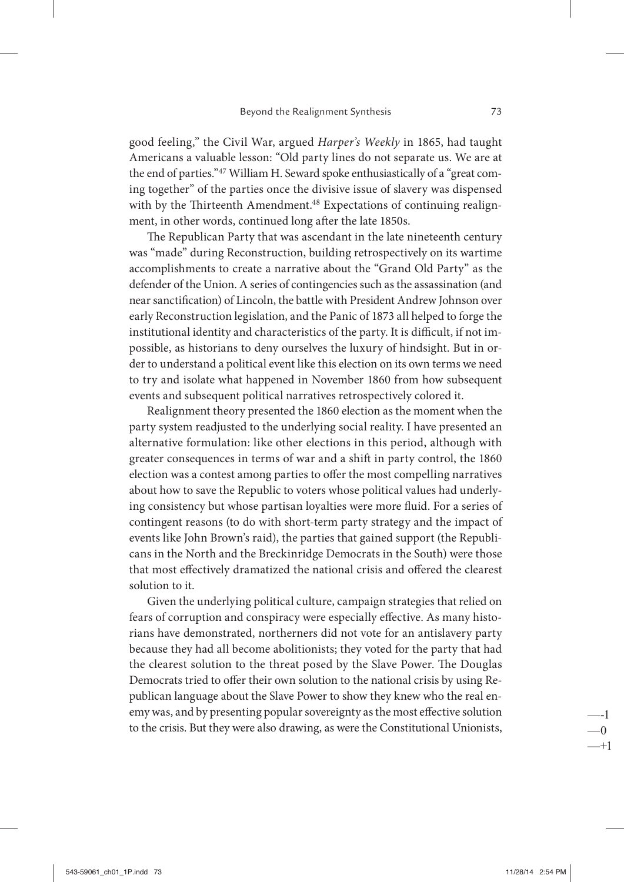good feeling," the Civil War, argued *Harper's Weekly* in 1865, had taught Americans a valuable lesson: "Old party lines do not separate us. We are at the end of parties."<sup>47</sup> William H. Seward spoke enthusiastically of a "great coming together" of the parties once the divisive issue of slavery was dispensed with by the Thirteenth Amendment.<sup>48</sup> Expectations of continuing realignment, in other words, continued long after the late 1850s.

The Republican Party that was ascendant in the late nineteenth century was "made" during Reconstruction, building retrospectively on its war time accomplishments to create a narrative about the "Grand Old Party" as the defender of the Union. A series of contingencies such as the assassination (and near sanctification) of Lincoln, the battle with President Andrew Johnson over early Reconstruction legislation, and the Panic of 1873 all helped to forge the institutional identity and characteristics of the party. It is difficult, if not impossible, as historians to deny ourselves the luxury of hindsight. But in order to understand a political event like this election on its own terms we need to try and isolate what happened in November 1860 from how subsequent events and subsequent political narratives retrospectively colored it.

Realignment theory presented the 1860 election as the moment when the party system readjusted to the underlying social reality. I have presented an alternative formulation: like other elections in this period, although with greater consequences in terms of war and a shift in party control, the 1860 election was a contest among parties to offer the most compelling narratives about how to save the Republic to voters whose political values had underlying consistency but whose partisan loyalties were more fluid. For a series of contingent reasons (to do with short- term party strategy and the impact of events like John Brown's raid), the parties that gained support (the Republicans in the North and the Breckinridge Democrats in the South) were those that most effectively dramatized the national crisis and offered the clearest solution to it.

Given the underlying political culture, campaign strategies that relied on fears of corruption and conspiracy were especially effective. As many historians have demonstrated, northerners did not vote for an antislavery party because they had all become abolitionists; they voted for the party that had the clearest solution to the threat posed by the Slave Power. The Douglas Democrats tried to offer their own solution to the national crisis by using Republican language about the Slave Power to show they knew who the real enemy was, and by presenting popular sovereignty as the most effective solution to the crisis. But they were also drawing, as were the Constitutional Unionists,